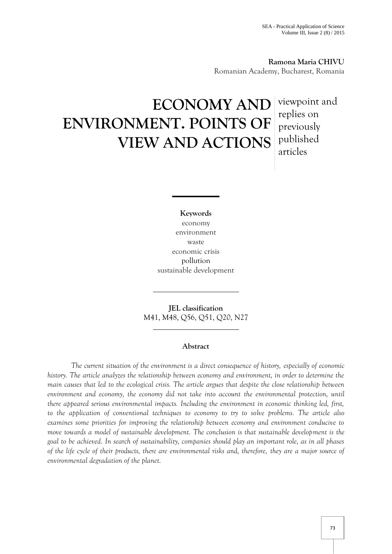**Ramona Maria CHIVU** Romanian Academy, Bucharest, Romania

# **ECONOMY AND** viewpoint and **ENVIRONMENT. POINTS OF VIEW AND ACTIONS** published

replies on previously articles

**Keywords** economy environment waste economic crisis pollution sustainable development

**JEL classification** M41, M48, Q56, Q51, Q20, N27

## **Abstract**

*The current situation of the environment is a direct consequence of history, especially of economic history. The article analyzes the relationship between economy and environment, in order to determine the main causes that led to the ecological crisis. The article argues that despite the close relationship between environment and economy, the economy did not take into account the environmental protection, until there appeared serious environmental impacts. Including the environment in economic thinking led, first, to the application of conventional techniques to economy to try to solve problems. The article also examines some priorities for improving the relationship between economy and environment conducive to move towards a model of sustainable development. The conclusion is that sustainable development is the goal to be achieved. In search of sustainability, companies should play an important role, as in all phases of the life cycle of their products, there are environmental risks and, therefore, they are a major source of environmental degradation of the planet.*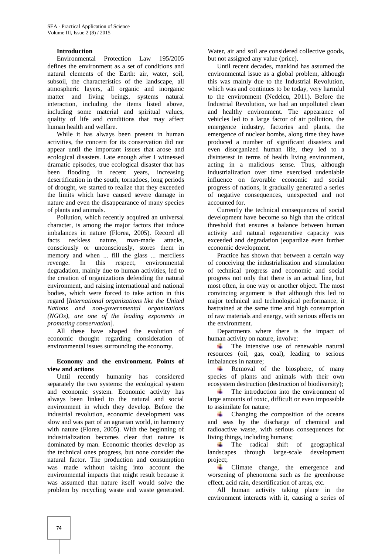## **Introduction**

Environmental Protection Law 195/2005 defines the environment as a set of conditions and natural elements of the Earth: air, water, soil, subsoil, the characteristics of the landscape, all atmospheric layers, all organic and inorganic matter and living beings, systems natural interaction, including the items listed above, including some material and spiritual values, quality of life and conditions that may affect human health and welfare.

While it has always been present in human activities, the concern for its conservation did not appear until the important issues that arose and ecological disasters. Late enough after I witnessed dramatic episodes, true ecological disaster that has been flooding in recent years, increasing desertification in the south, tornadoes, long periods of drought, we started to realize that they exceeded the limits which have caused severe damage in nature and even the disappearance of many species of plants and animals.

Pollution, which recently acquired an universal character, is among the major factors that induce imbalances in nature (Florea, 2005). Record all facts reckless nature, man-made attacks, consciously or unconsciously, stores them in memory and when ... fill the glass ... merciless revenge. In this respect, environmental degradation, mainly due to human activities, led to the creation of organizations defending the natural environment, and raising international and national bodies, which were forced to take action in this regard [*International organizations like the United Nations and non-governmental organizations (NGOs), are one of the leading exponents in promoting conservation*]*.*

All these have shaped the evolution of economic thought regarding consideration of environmental issues surrounding the economy.

#### **Economy and the environment. Points of view and actions**

Until recently humanity has considered separately the two systems: the ecological system and economic system. Economic activity has always been linked to the natural and social environment in which they develop. Before the industrial revolution, economic development was slow and was part of an agrarian world, in harmony with nature (Florea, 2005). With the beginning of industrialization becomes clear that nature is dominated by man. Economic theories develop as the technical ones progress, but none consider the natural factor. The production and consumption was made without taking into account the environmental impacts that might result because it was assumed that nature itself would solve the problem by recycling waste and waste generated.

Water, air and soil are considered collective goods, but not assigned any value (price).

Until recent decades, mankind has assumed the environmental issue as a global problem, although this was mainly due to the Industrial Revolution, which was and continues to be today, very harmful to the environment (Nedelcu, 2011). Before the Industrial Revolution, we had an unpolluted clean and healthy environment. The appearance of vehicles led to a large factor of air pollution, the emergence industry, factories and plants, the emergence of nuclear bombs, along time they have produced a number of significant disasters and even disorganized human life, they led to a disinterest in terms of health living environment, acting in a malicious sense. Thus, although industrialization over time exercised undeniable influence on favorable economic and social progress of nations, it gradually generated a series of negative consequences, unexpected and not accounted for.

Currently the technical consequences of social development have become so high that the critical threshold that ensures a balance between human activity and natural regenerative capacity was exceeded and degradation jeopardize even further economic development.

Practice has shown that between a certain way of conceiving the industrialization and stimulation of technical progress and economic and social progress not only that there is an actual line, but most often, in one way or another object. The most convincing argument is that although this led to major technical and technological performance, it hastrained at the same time and high consumption of raw materials and energy, with serious effects on the environment.

Departments where there is the impact of human activity on nature, involve:

The intensive use of renewable natural **Section** resources (oil, gas, coal), leading to serious imbalances in nature;

Removal of the biosphere, of many species of plants and animals with their own ecosystem destruction (destruction of biodiversity);

The introduction into the environment of large amounts of toxic, difficult or even impossible to assimilate for nature;

Changing the composition of the oceans and seas by the discharge of chemical and radioactive waste, with serious consequences for living things, including humans;

The radical shift of geographical landscapes through large-scale development project;

**Climate** change, the emergence and worsening of phenomena such as the greenhouse effect, acid rain, desertification of areas, etc.

All human activity taking place in the environment interacts with it, causing a series of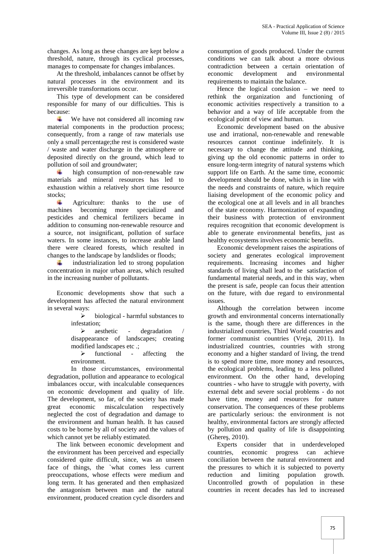changes. As long as these changes are kept below a threshold, nature, through its cyclical processes, manages to compensate for changes imbalances.

At the threshold, imbalances cannot be offset by economic natural processes in the environment and its irreversible transformations occur.

This type of development can be considered responsible for many of our difficulties. This is because:

4 We have not considered all incoming raw material components in the production process; consequently, from a range of raw materials use only a small percentage;the rest is considered waste / waste and water discharge in the atmosphere or deposited directly on the ground, which lead to pollution of soil and groundwater;

high consumption of non-renewable raw materials and mineral resources has led to exhaustion within a relatively short time resource stocks;

÷. Agriculture: thanks to the use of machines becoming more specialized and pesticides and chemical fertilizers became in addition to consuming non-renewable resource and a source, not insignificant, pollution of surface waters. In some instances, to increase arable land there were cleared forests, which resulted in changes to the landscape by landslides or floods;

industrialization led to strong population A. concentration in major urban areas, which resulted in the increasing number of pollutants.

Economic developments show that such a development has affected the natural environment in several ways:

> $\triangleright$  biological - harmful substances to infestation;

> $\triangleright$  aesthetic - degradation disappearance of landscapes; creating modified landscapes etc .;

> $\triangleright$  functional - affecting the environment.

In those circumstances, environmental degradation, pollution and appearance to ecological imbalances occur, with incalculable consequences on economic development and quality of life. The development, so far, of the society has made great economic miscalculation respectively neglected the cost of degradation and damage to the environment and human health. It has caused costs to be borne by all of society and the values of which cannot yet be reliably estimated.

The link between economic development and the environment has been perceived and especially considered quite difficult, since, was an unseen face of things, the `what comes less current preoccupations, whose effects were medium and long term. It has generated and then emphasized the antagonism between man and the natural environment, produced creation cycle disorders and

consumption of goods produced. Under the current conditions we can talk about a more obvious contradiction between a certain orientation of development and environmental requirements to maintain the balance.

Hence the logical conclusion – we need to rethink the organization and functioning of economic activities respectively a transition to a behavior and a way of life acceptable from the ecological point of view and human.

Economic development based on the abusive use and irrational, non-renewable and renewable resources cannot continue indefinitely. It is necessary to change the attitude and thinking, giving up the old economic patterns in order to ensure long-term integrity of natural systems which support life on Earth. At the same time, economic development should be done, which is in line with the needs and constraints of nature, which require liaising development of the economic policy and the ecological one at all levels and in all branches of the state economy. Harmonization of expanding their business with protection of environment requires recognition that economic development is able to generate environmental benefits, just as healthy ecosystems involves economic benefits.

Economic development raises the aspirations of society and generates ecological improvement requirements. Increasing incomes and higher standards of living shall lead to the satisfaction of fundamental material needs, and in this way, when the present is safe, people can focus their attention on the future, with due regard to environmental issues.

Although the correlation between income growth and environmental concerns internationally is the same, though there are differences in the industrialized countries, Third World countries and former communist countries (Vreja, 2011). In industrialized countries, countries with strong economy and a higher standard of living, the trend is to spend more time, more money and resources, the ecological problems, leading to a less polluted environment. On the other hand, developing countries - who have to struggle with poverty, with external debt and severe social problems - do not have time, money and resources for nature conservation. The consequences of these problems are particularly serious: the environment is not healthy, environmental factors are strongly affected by pollution and quality of life is disappointing  $(Ghere, 2010)$ .

Experts consider that in underdeveloped economic progress can achieve conciliation between the natural environment and the pressures to which it is subjected to poverty limiting population growth. Uncontrolled growth of population in these countries in recent decades has led to increased